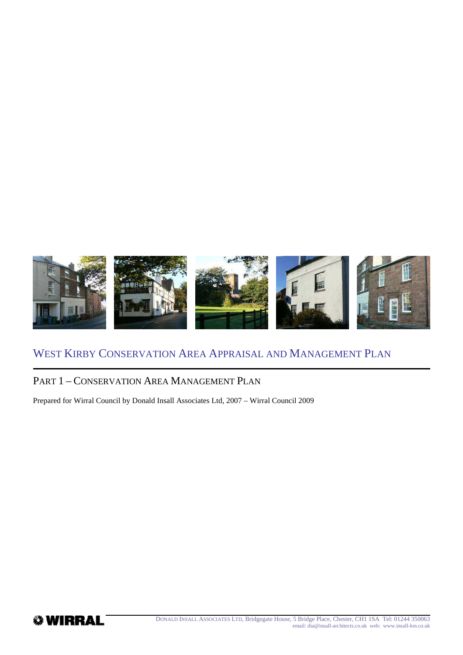

## PART 1 – CONSERVATION AREA MANAGEMENT PLAN

Prepared for Wirral Council by Donald Insall Associates Ltd, 2007 – Wirral Council 2009

**WIRRAL**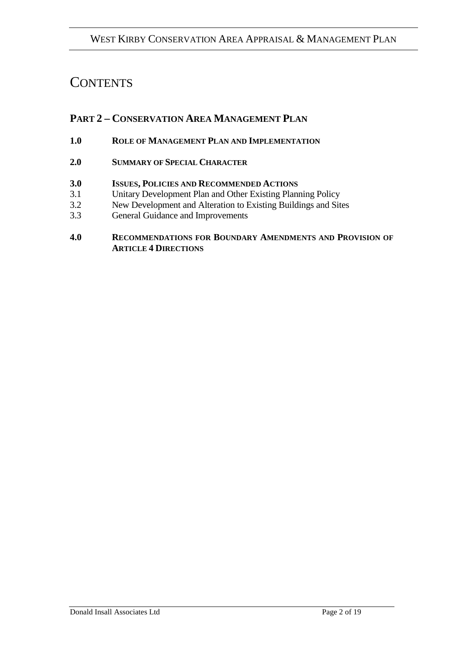# **CONTENTS**

# **PART 2 – CONSERVATION AREA MANAGEMENT PLAN**

- **1.0 ROLE OF MANAGEMENT PLAN AND IMPLEMENTATION**
- **2.0 SUMMARY OF SPECIAL CHARACTER**
- **3.0 ISSUES, POLICIES AND RECOMMENDED ACTIONS**
- 3.1 Unitary Development Plan and Other Existing Planning Policy
- 3.2 New Development and Alteration to Existing Buildings and Sites
- 3.3 General Guidance and Improvements

#### **4.0 RECOMMENDATIONS FOR BOUNDARY AMENDMENTS AND PROVISION OF ARTICLE 4 DIRECTIONS**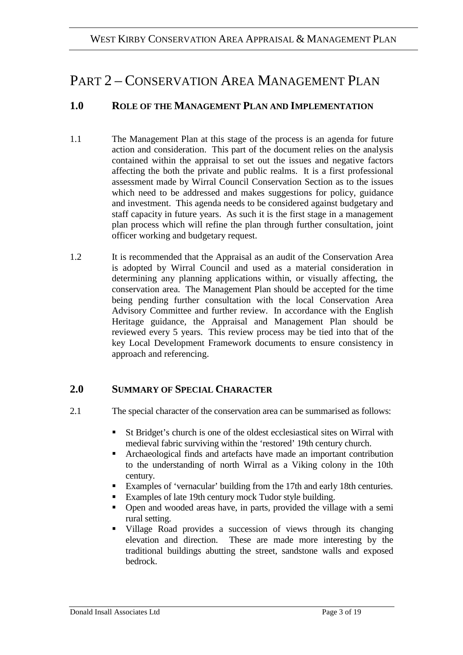# PART 2 – CONSERVATION AREA MANAGEMENT PLAN

## **1.0 ROLE OF THE MANAGEMENT PLAN AND IMPLEMENTATION**

- 1.1 The Management Plan at this stage of the process is an agenda for future action and consideration. This part of the document relies on the analysis contained within the appraisal to set out the issues and negative factors affecting the both the private and public realms. It is a first professional assessment made by Wirral Council Conservation Section as to the issues which need to be addressed and makes suggestions for policy, guidance and investment. This agenda needs to be considered against budgetary and staff capacity in future years. As such it is the first stage in a management plan process which will refine the plan through further consultation, joint officer working and budgetary request.
- 1.2 It is recommended that the Appraisal as an audit of the Conservation Area is adopted by Wirral Council and used as a material consideration in determining any planning applications within, or visually affecting, the conservation area. The Management Plan should be accepted for the time being pending further consultation with the local Conservation Area Advisory Committee and further review. In accordance with the English Heritage guidance, the Appraisal and Management Plan should be reviewed every 5 years. This review process may be tied into that of the key Local Development Framework documents to ensure consistency in approach and referencing.

## **2.0 SUMMARY OF SPECIAL CHARACTER**

- 2.1 The special character of the conservation area can be summarised as follows:
	- St Bridget's church is one of the oldest ecclesiastical sites on Wirral with medieval fabric surviving within the 'restored' 19th century church.
	- Archaeological finds and artefacts have made an important contribution to the understanding of north Wirral as a Viking colony in the 10th century.
	- Examples of 'vernacular' building from the 17th and early 18th centuries.
	- Examples of late 19th century mock Tudor style building.
	- Open and wooded areas have, in parts, provided the village with a semi rural setting.
	- Village Road provides a succession of views through its changing elevation and direction. These are made more interesting by the traditional buildings abutting the street, sandstone walls and exposed bedrock.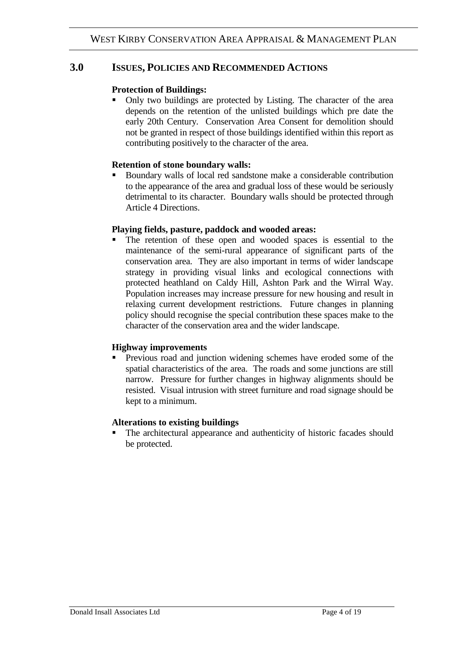#### **3.0 ISSUES, POLICIES AND RECOMMENDED ACTIONS**

#### **Protection of Buildings:**

• Only two buildings are protected by Listing. The character of the area depends on the retention of the unlisted buildings which pre date the early 20th Century. Conservation Area Consent for demolition should not be granted in respect of those buildings identified within this report as contributing positively to the character of the area.

#### **Retention of stone boundary walls:**

 Boundary walls of local red sandstone make a considerable contribution to the appearance of the area and gradual loss of these would be seriously detrimental to its character. Boundary walls should be protected through Article 4 Directions.

#### **Playing fields, pasture, paddock and wooded areas:**

 The retention of these open and wooded spaces is essential to the maintenance of the semi-rural appearance of significant parts of the conservation area. They are also important in terms of wider landscape strategy in providing visual links and ecological connections with protected heathland on Caldy Hill, Ashton Park and the Wirral Way. Population increases may increase pressure for new housing and result in relaxing current development restrictions. Future changes in planning policy should recognise the special contribution these spaces make to the character of the conservation area and the wider landscape.

#### **Highway improvements**

 Previous road and junction widening schemes have eroded some of the spatial characteristics of the area. The roads and some junctions are still narrow. Pressure for further changes in highway alignments should be resisted. Visual intrusion with street furniture and road signage should be kept to a minimum.

#### **Alterations to existing buildings**

 The architectural appearance and authenticity of historic facades should be protected.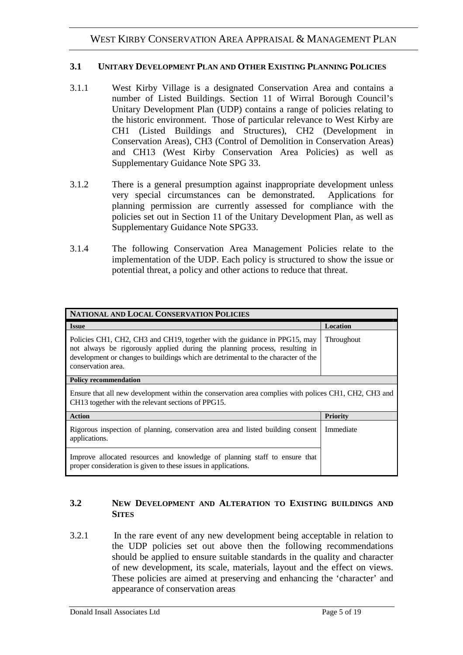#### **3.1 UNITARY DEVELOPMENT PLAN AND OTHER EXISTING PLANNING POLICIES**

- 3.1.1 West Kirby Village is a designated Conservation Area and contains a number of Listed Buildings. Section 11 of Wirral Borough Council's Unitary Development Plan (UDP) contains a range of policies relating to the historic environment. Those of particular relevance to West Kirby are CH1 (Listed Buildings and Structures), CH2 (Development in Conservation Areas), CH3 (Control of Demolition in Conservation Areas) and CH13 (West Kirby Conservation Area Policies) as well as Supplementary Guidance Note SPG 33.
- 3.1.2 There is a general presumption against inappropriate development unless very special circumstances can be demonstrated. Applications for planning permission are currently assessed for compliance with the policies set out in Section 11 of the Unitary Development Plan, as well as Supplementary Guidance Note SPG33.
- 3.1.4 The following Conservation Area Management Policies relate to the implementation of the UDP. Each policy is structured to show the issue or potential threat, a policy and other actions to reduce that threat.

| NATIONAL AND LOCAL CONSERVATION POLICIES                                                                                                                                                                                                                           |                 |  |
|--------------------------------------------------------------------------------------------------------------------------------------------------------------------------------------------------------------------------------------------------------------------|-----------------|--|
| <b>Issue</b>                                                                                                                                                                                                                                                       | Location        |  |
| Policies CH1, CH2, CH3 and CH19, together with the guidance in PPG15, may<br>not always be rigorously applied during the planning process, resulting in<br>development or changes to buildings which are detrimental to the character of the<br>conservation area. | Throughout      |  |
| <b>Policy recommendation</b>                                                                                                                                                                                                                                       |                 |  |
| Ensure that all new development within the conservation area complies with polices CH1, CH2, CH3 and<br>CH13 together with the relevant sections of PPG15.                                                                                                         |                 |  |
| <b>Action</b>                                                                                                                                                                                                                                                      | <b>Priority</b> |  |
| Rigorous inspection of planning, conservation area and listed building consent<br>applications.                                                                                                                                                                    | Immediate       |  |
| Improve allocated resources and knowledge of planning staff to ensure that<br>proper consideration is given to these issues in applications.                                                                                                                       |                 |  |

#### **3.2 NEW DEVELOPMENT AND ALTERATION TO EXISTING BUILDINGS AND SITES**

3.2.1 In the rare event of any new development being acceptable in relation to the UDP policies set out above then the following recommendations should be applied to ensure suitable standards in the quality and character of new development, its scale, materials, layout and the effect on views. These policies are aimed at preserving and enhancing the 'character' and appearance of conservation areas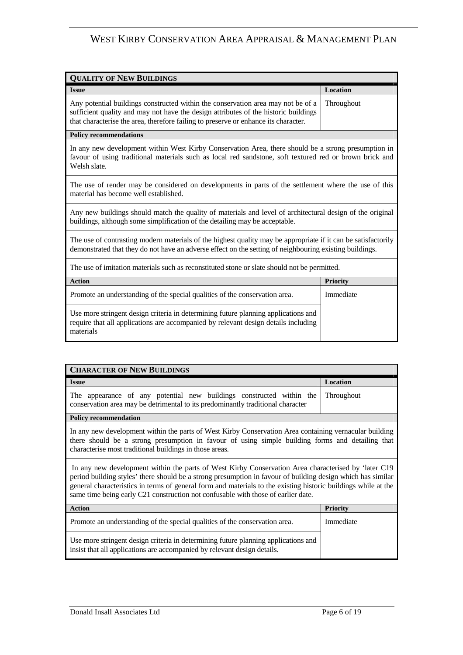| <b>QUALITY OF NEW BUILDINGS</b>                                                                                                                                                                                                                                |                 |
|----------------------------------------------------------------------------------------------------------------------------------------------------------------------------------------------------------------------------------------------------------------|-----------------|
| <b>Issue</b>                                                                                                                                                                                                                                                   | Location        |
| Any potential buildings constructed within the conservation area may not be of a<br>sufficient quality and may not have the design attributes of the historic buildings<br>that characterise the area, therefore failing to preserve or enhance its character. | Throughout      |
| <b>Policy recommendations</b>                                                                                                                                                                                                                                  |                 |
| In any new development within West Kirby Conservation Area, there should be a strong presumption in<br>favour of using traditional materials such as local red sandstone, soft textured red or brown brick and<br>Welsh slate.                                 |                 |
| The use of render may be considered on developments in parts of the settlement where the use of this<br>material has become well established.                                                                                                                  |                 |
| Any new buildings should match the quality of materials and level of architectural design of the original<br>buildings, although some simplification of the detailing may be acceptable.                                                                       |                 |
| The use of contrasting modern materials of the highest quality may be appropriate if it can be satisfactorily<br>demonstrated that they do not have an adverse effect on the setting of neighbouring existing buildings.                                       |                 |
| The use of imitation materials such as reconstituted stone or slate should not be permitted.                                                                                                                                                                   |                 |
| <b>Action</b>                                                                                                                                                                                                                                                  | <b>Priority</b> |
| Promote an understanding of the special qualities of the conservation area.                                                                                                                                                                                    | Immediate       |
| Use more stringent design criteria in determining future planning applications and<br>require that all applications are accompanied by relevant design details including<br>materials                                                                          |                 |

| <b>CHARACTER OF NEW BUILDINGS</b>                                                                                                                                                                                                                                                                                                                                                                                         |                 |
|---------------------------------------------------------------------------------------------------------------------------------------------------------------------------------------------------------------------------------------------------------------------------------------------------------------------------------------------------------------------------------------------------------------------------|-----------------|
| <b>Issue</b>                                                                                                                                                                                                                                                                                                                                                                                                              | Location        |
| The appearance of any potential new buildings constructed within the<br>conservation area may be detrimental to its predominantly traditional character                                                                                                                                                                                                                                                                   | Throughout      |
| <b>Policy recommendation</b>                                                                                                                                                                                                                                                                                                                                                                                              |                 |
| In any new development within the parts of West Kirby Conservation Area containing vernacular building<br>there should be a strong presumption in favour of using simple building forms and detailing that<br>characterise most traditional buildings in those areas.                                                                                                                                                     |                 |
| In any new development within the parts of West Kirby Conservation Area characterised by 'later C19<br>period building styles' there should be a strong presumption in favour of building design which has similar<br>general characteristics in terms of general form and materials to the existing historic buildings while at the<br>same time being early C21 construction not confusable with those of earlier date. |                 |
| <b>Action</b>                                                                                                                                                                                                                                                                                                                                                                                                             | <b>Priority</b> |
| Promote an understanding of the special qualities of the conservation area.                                                                                                                                                                                                                                                                                                                                               | Immediate       |
| Use more stringent design criteria in determining future planning applications and<br>insist that all applications are accompanied by relevant design details.                                                                                                                                                                                                                                                            |                 |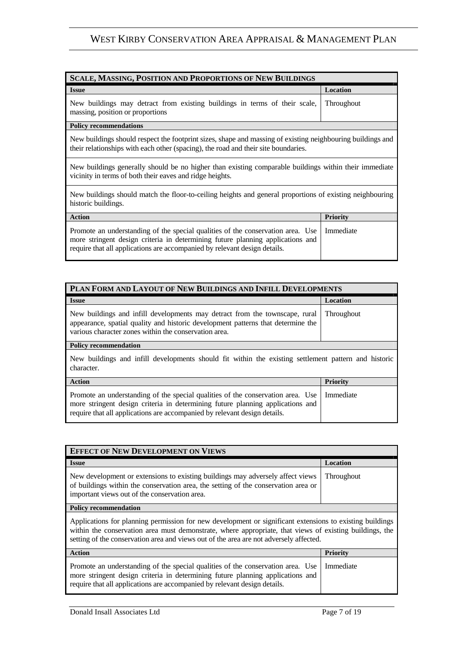| <b>SCALE, MASSING, POSITION AND PROPORTIONS OF NEW BUILDINGS</b>                                                                                                                                                                               |                 |  |
|------------------------------------------------------------------------------------------------------------------------------------------------------------------------------------------------------------------------------------------------|-----------------|--|
| <b>Issue</b>                                                                                                                                                                                                                                   | Location        |  |
| New buildings may detract from existing buildings in terms of their scale,<br>massing, position or proportions                                                                                                                                 | Throughout      |  |
| <b>Policy recommendations</b>                                                                                                                                                                                                                  |                 |  |
| New buildings should respect the footprint sizes, shape and massing of existing neighbouring buildings and<br>their relationships with each other (spacing), the road and their site boundaries.                                               |                 |  |
| New buildings generally should be no higher than existing comparable buildings within their immediate<br>vicinity in terms of both their eaves and ridge heights.                                                                              |                 |  |
| New buildings should match the floor-to-ceiling heights and general proportions of existing neighbouring<br>historic buildings.                                                                                                                |                 |  |
| <b>Action</b>                                                                                                                                                                                                                                  | <b>Priority</b> |  |
| Promote an understanding of the special qualities of the conservation area. Use<br>more stringent design criteria in determining future planning applications and<br>require that all applications are accompanied by relevant design details. | Immediate       |  |

| PLAN FORM AND LAYOUT OF NEW BUILDINGS AND INFILL DEVELOPMENTS                                                                                                                                                                                  |                   |
|------------------------------------------------------------------------------------------------------------------------------------------------------------------------------------------------------------------------------------------------|-------------------|
| <b>Issue</b>                                                                                                                                                                                                                                   | Location          |
| New buildings and infill developments may detract from the townscape, rural<br>appearance, spatial quality and historic development patterns that determine the<br>various character zones within the conservation area.                       | <b>Throughout</b> |
| <b>Policy recommendation</b>                                                                                                                                                                                                                   |                   |
| New buildings and infill developments should fit within the existing settlement pattern and historic<br>character.                                                                                                                             |                   |
| <b>Action</b>                                                                                                                                                                                                                                  | <b>Priority</b>   |
| Promote an understanding of the special qualities of the conservation area. Use<br>more stringent design criteria in determining future planning applications and<br>require that all applications are accompanied by relevant design details. | Immediate         |

| <b>EFFECT OF NEW DEVELOPMENT ON VIEWS</b>                                                                                                                                                                                                                                                                     |                 |
|---------------------------------------------------------------------------------------------------------------------------------------------------------------------------------------------------------------------------------------------------------------------------------------------------------------|-----------------|
| <b>Issue</b>                                                                                                                                                                                                                                                                                                  | <b>Location</b> |
| New development or extensions to existing buildings may adversely affect views<br>of buildings within the conservation area, the setting of the conservation area or<br>important views out of the conservation area.                                                                                         | Throughout      |
| <b>Policy recommendation</b>                                                                                                                                                                                                                                                                                  |                 |
| Applications for planning permission for new development or significant extensions to existing buildings<br>within the conservation area must demonstrate, where appropriate, that views of existing buildings, the<br>setting of the conservation area and views out of the area are not adversely affected. |                 |
| <b>Action</b>                                                                                                                                                                                                                                                                                                 | <b>Priority</b> |
| Promote an understanding of the special qualities of the conservation area. Use<br>more stringent design criteria in determining future planning applications and                                                                                                                                             | Immediate       |

require that all applications are accompanied by relevant design details.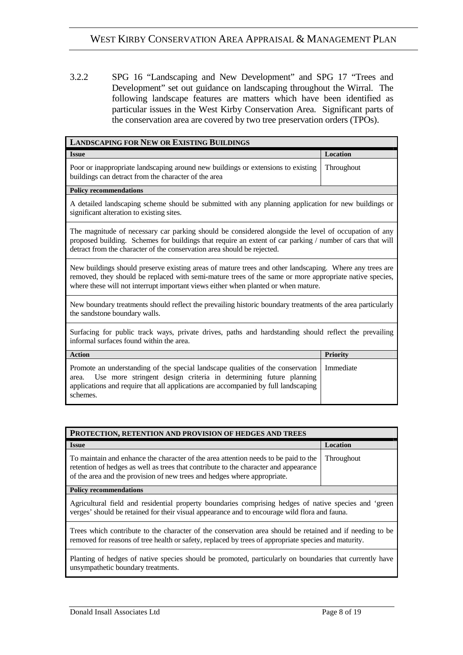3.2.2 SPG 16 "Landscaping and New Development" and SPG 17 "Trees and Development" set out guidance on landscaping throughout the Wirral. The following landscape features are matters which have been identified as particular issues in the West Kirby Conservation Area. Significant parts of the conservation area are covered by two tree preservation orders (TPOs).

| <b>LANDSCAPING FOR NEW OR EXISTING BUILDINGS</b>                                                                                                                                                                                                                                                         |                 |
|----------------------------------------------------------------------------------------------------------------------------------------------------------------------------------------------------------------------------------------------------------------------------------------------------------|-----------------|
| <b>Issue</b>                                                                                                                                                                                                                                                                                             | Location        |
| Poor or inappropriate landscaping around new buildings or extensions to existing<br>buildings can detract from the character of the area                                                                                                                                                                 | Throughout      |
| <b>Policy recommendations</b>                                                                                                                                                                                                                                                                            |                 |
| A detailed landscaping scheme should be submitted with any planning application for new buildings or<br>significant alteration to existing sites.                                                                                                                                                        |                 |
| The magnitude of necessary car parking should be considered alongside the level of occupation of any<br>proposed building. Schemes for buildings that require an extent of car parking / number of cars that will<br>detract from the character of the conservation area should be rejected.             |                 |
| New buildings should preserve existing areas of mature trees and other landscaping. Where any trees are<br>removed, they should be replaced with semi-mature trees of the same or more appropriate native species,<br>where these will not interrupt important views either when planted or when mature. |                 |
| New boundary treatments should reflect the prevailing historic boundary treatments of the area particularly<br>the sandstone boundary walls.                                                                                                                                                             |                 |
| Surfacing for public track ways, private drives, paths and hardstanding should reflect the prevailing<br>informal surfaces found within the area.                                                                                                                                                        |                 |
| <b>Action</b>                                                                                                                                                                                                                                                                                            | <b>Priority</b> |
| Promote an understanding of the special landscape qualities of the conservation<br>Use more stringent design criteria in determining future planning<br>area.<br>applications and require that all applications are accompanied by full landscaping<br>schemes.                                          | Immediate       |
|                                                                                                                                                                                                                                                                                                          |                 |

| <b>PROTECTION, RETENTION AND PROVISION OF HEDGES AND TREES</b>                                                                                                                                                                                          |            |
|---------------------------------------------------------------------------------------------------------------------------------------------------------------------------------------------------------------------------------------------------------|------------|
| <b>Issue</b>                                                                                                                                                                                                                                            | Location   |
| To maintain and enhance the character of the area attention needs to be paid to the<br>retention of hedges as well as trees that contribute to the character and appearance<br>of the area and the provision of new trees and hedges where appropriate. | Throughout |
| <b>Policy recommendations</b>                                                                                                                                                                                                                           |            |
| Agricultural field and residential property boundaries comprising hedges of native species and 'green<br>verges' should be retained for their visual appearance and to encourage wild flora and fauna.                                                  |            |
| Trees which contribute to the character of the conservation area should be retained and if needing to be<br>removed for reasons of tree health or safety, replaced by trees of appropriate species and maturity.                                        |            |
| Planting of hedges of native species should be promoted, particularly on boundaries that currently have<br>unsympathetic boundary treatments.                                                                                                           |            |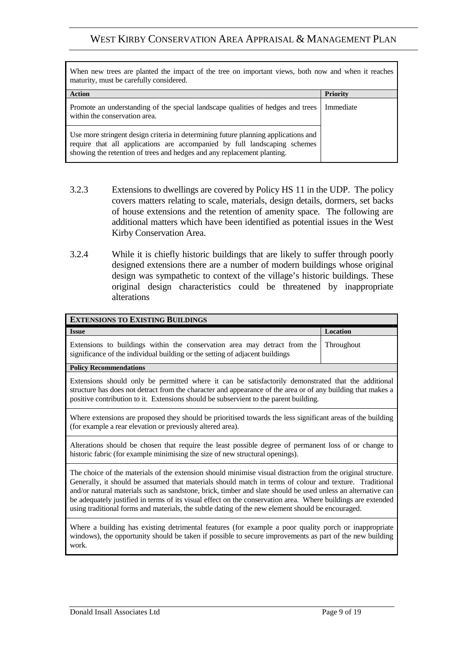| When new trees are planted the impact of the tree on important views, both now and when it reaches<br>maturity, must be carefully considered.                                                                                              |                 |
|--------------------------------------------------------------------------------------------------------------------------------------------------------------------------------------------------------------------------------------------|-----------------|
| <b>Action</b>                                                                                                                                                                                                                              | <b>Priority</b> |
| Promote an understanding of the special landscape qualities of hedges and trees<br>within the conservation area.                                                                                                                           | Immediate       |
| Use more stringent design criteria in determining future planning applications and<br>require that all applications are accompanied by full landscaping schemes<br>showing the retention of trees and hedges and any replacement planting. |                 |

- 3.2.3 Extensions to dwellings are covered by Policy HS 11 in the UDP. The policy covers matters relating to scale, materials, design details, dormers, set backs of house extensions and the retention of amenity space. The following are additional matters which have been identified as potential issues in the West Kirby Conservation Area.
- 3.2.4 While it is chiefly historic buildings that are likely to suffer through poorly designed extensions there are a number of modern buildings whose original design was sympathetic to context of the village's historic buildings. These original design characteristics could be threatened by inappropriate alterations

| <b>EXTENSIONS TO EXISTING BUILDINGS</b>                                                                                                                                                                                                                                                                                                                                                                                                                                                                                                                      |                   |
|--------------------------------------------------------------------------------------------------------------------------------------------------------------------------------------------------------------------------------------------------------------------------------------------------------------------------------------------------------------------------------------------------------------------------------------------------------------------------------------------------------------------------------------------------------------|-------------------|
| <b>Issue</b>                                                                                                                                                                                                                                                                                                                                                                                                                                                                                                                                                 | <b>Location</b>   |
| Extensions to buildings within the conservation area may detract from the<br>significance of the individual building or the setting of adjacent buildings                                                                                                                                                                                                                                                                                                                                                                                                    | <b>Throughout</b> |
| <b>Policy Recommendations</b>                                                                                                                                                                                                                                                                                                                                                                                                                                                                                                                                |                   |
| Extensions should only be permitted where it can be satisfactorily demonstrated that the additional<br>structure has does not detract from the character and appearance of the area or of any building that makes a<br>positive contribution to it. Extensions should be subservient to the parent building.                                                                                                                                                                                                                                                 |                   |
| Where extensions are proposed they should be prioritised towards the less significant areas of the building<br>(for example a rear elevation or previously altered area).                                                                                                                                                                                                                                                                                                                                                                                    |                   |
| Alterations should be chosen that require the least possible degree of permanent loss of or change to<br>historic fabric (for example minimising the size of new structural openings).                                                                                                                                                                                                                                                                                                                                                                       |                   |
| The choice of the materials of the extension should minimise visual distraction from the original structure.<br>Generally, it should be assumed that materials should match in terms of colour and texture. Traditional<br>and/or natural materials such as sandstone, brick, timber and slate should be used unless an alternative can<br>be adequately justified in terms of its visual effect on the conservation area. Where buildings are extended<br>using traditional forms and materials, the subtle dating of the new element should be encouraged. |                   |
| Where a building has existing detrimental features (for example a poor quality porch or inappropriate<br>windows), the opportunity should be taken if possible to secure improvements as part of the new building<br>work.                                                                                                                                                                                                                                                                                                                                   |                   |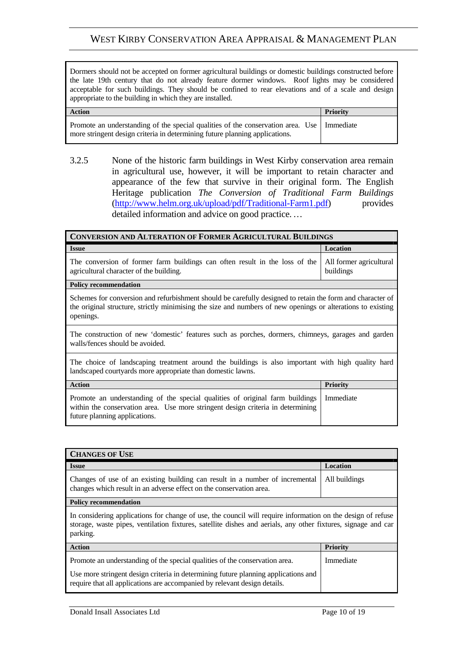Dormers should not be accepted on former agricultural buildings or domestic buildings constructed before the late 19th century that do not already feature dormer windows. Roof lights may be considered acceptable for such buildings. They should be confined to rear elevations and of a scale and design appropriate to the building in which they are installed.

| <b>Action</b>                                                                                                                                                              | <b>Priority</b> |
|----------------------------------------------------------------------------------------------------------------------------------------------------------------------------|-----------------|
| Promote an understanding of the special qualities of the conservation area. Use   Immediate<br>more stringent design criteria in determining future planning applications. |                 |

3.2.5 None of the historic farm buildings in West Kirby conservation area remain in agricultural use, however, it will be important to retain character and appearance of the few that survive in their original form. The English Heritage publication *The Conversion of Traditional Farm Buildings* (http://www.helm.org.uk/upload/pdf/Traditional-Farm1.pdf) provides detailed information and advice on good practice. *…* 

| <b>CONVERSION AND ALTERATION OF FORMER AGRICULTURAL BUILDINGS</b>                                                                                                                                                                     |                                      |
|---------------------------------------------------------------------------------------------------------------------------------------------------------------------------------------------------------------------------------------|--------------------------------------|
| <b>Issue</b>                                                                                                                                                                                                                          | Location                             |
| The conversion of former farm buildings can often result in the loss of the<br>agricultural character of the building.                                                                                                                | All former agricultural<br>buildings |
| <b>Policy recommendation</b>                                                                                                                                                                                                          |                                      |
| Schemes for conversion and refurbishment should be carefully designed to retain the form and character of<br>the original structure, strictly minimising the size and numbers of new openings or alterations to existing<br>openings. |                                      |
| The construction of new 'domestic' features such as porches, dormers, chimneys, garages and garden<br>walls/fences should be avoided.                                                                                                 |                                      |
| The choice of landscaping treatment around the buildings is also important with high quality hard<br>landscaped courtyards more appropriate than domestic lawns.                                                                      |                                      |
| <b>Action</b>                                                                                                                                                                                                                         | <b>Priority</b>                      |
| Promote an understanding of the special qualities of original farm buildings<br>within the conservation area. Use more stringent design criteria in determining<br>future planning applications.                                      | Immediate                            |

| <b>CHANGES OF USE</b>                                                                                                                                                                                                                          |                 |
|------------------------------------------------------------------------------------------------------------------------------------------------------------------------------------------------------------------------------------------------|-----------------|
| <b>Issue</b>                                                                                                                                                                                                                                   | Location        |
| Changes of use of an existing building can result in a number of incremental<br>changes which result in an adverse effect on the conservation area.                                                                                            | All buildings   |
| <b>Policy recommendation</b>                                                                                                                                                                                                                   |                 |
| In considering applications for change of use, the council will require information on the design of refuse<br>storage, waste pipes, ventilation fixtures, satellite dishes and aerials, any other fixtures, signage and car<br>parking.       |                 |
| <b>Action</b>                                                                                                                                                                                                                                  | <b>Priority</b> |
| Promote an understanding of the special qualities of the conservation area.<br>Use more stringent design criteria in determining future planning applications and<br>require that all applications are accompanied by relevant design details. | Immediate       |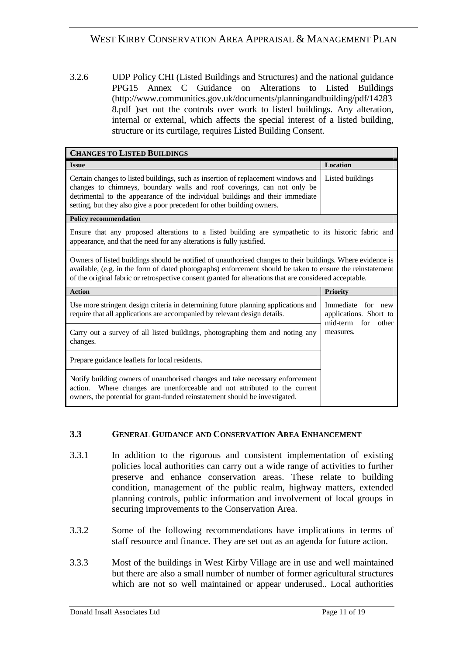3.2.6 UDP Policy CHI (Listed Buildings and Structures) and the national guidance PPG15 Annex C Guidance on Alterations to Listed Buildings (http://www.communities.gov.uk/documents/planningandbuilding/pdf/14283 8.pdf )set out the controls over work to listed buildings. Any alteration, internal or external, which affects the special interest of a listed building, structure or its curtilage, requires Listed Building Consent.

| <b>CHANGES TO LISTED BUILDINGS</b>                                                                                                                                                                                                                                                                                                   |                                                                   |  |
|--------------------------------------------------------------------------------------------------------------------------------------------------------------------------------------------------------------------------------------------------------------------------------------------------------------------------------------|-------------------------------------------------------------------|--|
| <b>Issue</b>                                                                                                                                                                                                                                                                                                                         | Location                                                          |  |
| Certain changes to listed buildings, such as insertion of replacement windows and<br>changes to chimneys, boundary walls and roof coverings, can not only be<br>detrimental to the appearance of the individual buildings and their immediate<br>setting, but they also give a poor precedent for other building owners.             | Listed buildings                                                  |  |
| <b>Policy recommendation</b>                                                                                                                                                                                                                                                                                                         |                                                                   |  |
| Ensure that any proposed alterations to a listed building are sympathetic to its historic fabric and<br>appearance, and that the need for any alterations is fully justified.                                                                                                                                                        |                                                                   |  |
| Owners of listed buildings should be notified of unauthorised changes to their buildings. Where evidence is<br>available, (e.g. in the form of dated photographs) enforcement should be taken to ensure the reinstatement<br>of the original fabric or retrospective consent granted for alterations that are considered acceptable. |                                                                   |  |
| <b>Action</b>                                                                                                                                                                                                                                                                                                                        | <b>Priority</b>                                                   |  |
| Use more stringent design criteria in determining future planning applications and<br>require that all applications are accompanied by relevant design details.                                                                                                                                                                      | Immediate for new<br>applications. Short to<br>mid-term for other |  |
| Carry out a survey of all listed buildings, photographing them and noting any<br>changes.                                                                                                                                                                                                                                            | measures.                                                         |  |
| Prepare guidance leaflets for local residents.                                                                                                                                                                                                                                                                                       |                                                                   |  |
| Notify building owners of unauthorised changes and take necessary enforcement<br>Where changes are unenforceable and not attributed to the current<br>action.<br>owners, the potential for grant-funded reinstatement should be investigated.                                                                                        |                                                                   |  |

#### **3.3 GENERAL GUIDANCE AND CONSERVATION AREA ENHANCEMENT**

- 3.3.1 In addition to the rigorous and consistent implementation of existing policies local authorities can carry out a wide range of activities to further preserve and enhance conservation areas. These relate to building condition, management of the public realm, highway matters, extended planning controls, public information and involvement of local groups in securing improvements to the Conservation Area.
- 3.3.2 Some of the following recommendations have implications in terms of staff resource and finance. They are set out as an agenda for future action.
- 3.3.3 Most of the buildings in West Kirby Village are in use and well maintained but there are also a small number of number of former agricultural structures which are not so well maintained or appear underused.. Local authorities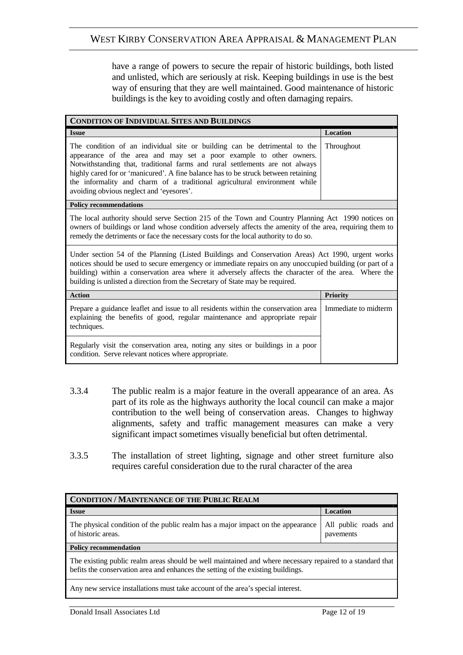have a range of powers to secure the repair of historic buildings, both listed and unlisted, which are seriously at risk. Keeping buildings in use is the best way of ensuring that they are well maintained. Good maintenance of historic buildings is the key to avoiding costly and often damaging repairs.

| <b>CONDITION OF INDIVIDUAL SITES AND BUILDINGS</b>                                                                                                                                                                                                                                                                                                                                                                                             |                      |
|------------------------------------------------------------------------------------------------------------------------------------------------------------------------------------------------------------------------------------------------------------------------------------------------------------------------------------------------------------------------------------------------------------------------------------------------|----------------------|
| <b>Issue</b>                                                                                                                                                                                                                                                                                                                                                                                                                                   | <b>Location</b>      |
| The condition of an individual site or building can be detrimental to the<br>appearance of the area and may set a poor example to other owners.<br>Notwithstanding that, traditional farms and rural settlements are not always<br>highly cared for or 'manicured'. A fine balance has to be struck between retaining<br>the informality and charm of a traditional agricultural environment while<br>avoiding obvious neglect and 'eyesores'. | Throughout           |
| <b>Policy recommendations</b>                                                                                                                                                                                                                                                                                                                                                                                                                  |                      |
| The local authority should serve Section 215 of the Town and Country Planning Act 1990 notices on<br>owners of buildings or land whose condition adversely affects the amenity of the area, requiring them to<br>remedy the detriments or face the necessary costs for the local authority to do so.                                                                                                                                           |                      |
| Under section 54 of the Planning (Listed Buildings and Conservation Areas) Act 1990, urgent works<br>notices should be used to secure emergency or immediate repairs on any unoccupied building (or part of a<br>building) within a conservation area where it adversely affects the character of the area. Where the<br>building is unlisted a direction from the Secretary of State may be required.                                         |                      |
| <b>Action</b>                                                                                                                                                                                                                                                                                                                                                                                                                                  | Priority             |
| Prepare a guidance leaflet and issue to all residents within the conservation area<br>explaining the benefits of good, regular maintenance and appropriate repair<br>techniques.                                                                                                                                                                                                                                                               | Immediate to midterm |
| Regularly visit the conservation area, noting any sites or buildings in a poor<br>condition. Serve relevant notices where appropriate.                                                                                                                                                                                                                                                                                                         |                      |
|                                                                                                                                                                                                                                                                                                                                                                                                                                                |                      |

- 3.3.4 The public realm is a major feature in the overall appearance of an area. As part of its role as the highways authority the local council can make a major contribution to the well being of conservation areas. Changes to highway alignments, safety and traffic management measures can make a very significant impact sometimes visually beneficial but often detrimental.
- 3.3.5 The installation of street lighting, signage and other street furniture also requires careful consideration due to the rural character of the area

| <b>CONDITION / MAINTENANCE OF THE PUBLIC REALM</b>                                                                                                                                            |                                   |
|-----------------------------------------------------------------------------------------------------------------------------------------------------------------------------------------------|-----------------------------------|
| <b>Issue</b>                                                                                                                                                                                  | Location                          |
| The physical condition of the public realm has a major impact on the appearance<br>of historic areas.                                                                                         | All public roads and<br>pavements |
| <b>Policy recommendation</b>                                                                                                                                                                  |                                   |
| The existing public realm areas should be well maintained and where necessary repaired to a standard that<br>befits the conservation area and enhances the setting of the existing buildings. |                                   |
| Any new service installations must take account of the area's special interest.                                                                                                               |                                   |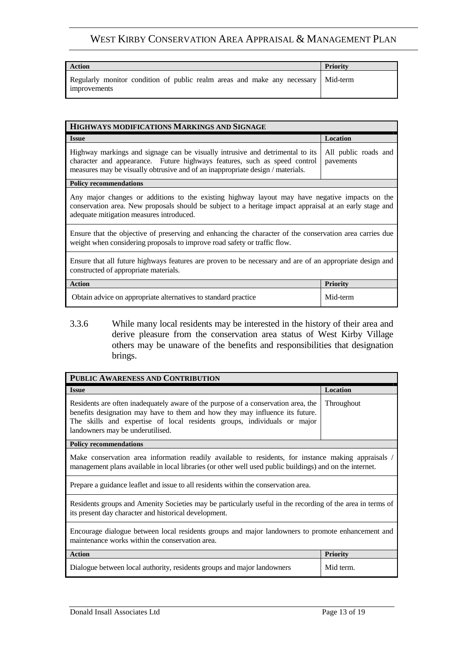| Action                                                                                            | <b>Priority</b> |
|---------------------------------------------------------------------------------------------------|-----------------|
| Regularly monitor condition of public realm areas and make any necessary Mid-term<br>improvements |                 |

| HIGHWAYS MODIFICATIONS MARKINGS AND SIGNAGE                                                                                                                                                                                                           |                                   |
|-------------------------------------------------------------------------------------------------------------------------------------------------------------------------------------------------------------------------------------------------------|-----------------------------------|
| <b>Issue</b>                                                                                                                                                                                                                                          | Location                          |
| Highway markings and signage can be visually intrusive and detrimental to its<br>character and appearance. Future highways features, such as speed control<br>measures may be visually obtrusive and of an inappropriate design / materials.          | All public roads and<br>pavements |
| <b>Policy recommendations</b>                                                                                                                                                                                                                         |                                   |
| Any major changes or additions to the existing highway layout may have negative impacts on the<br>conservation area. New proposals should be subject to a heritage impact appraisal at an early stage and<br>adequate mitigation measures introduced. |                                   |
| Ensure that the objective of preserving and enhancing the character of the conservation area carries due<br>weight when considering proposals to improve road safety or traffic flow.                                                                 |                                   |
| Ensure that all future highways features are proven to be necessary and are of an appropriate design and<br>constructed of appropriate materials.                                                                                                     |                                   |
| <b>Action</b>                                                                                                                                                                                                                                         | <b>Priority</b>                   |
| Obtain advice on appropriate alternatives to standard practice                                                                                                                                                                                        | Mid-term                          |

3.3.6 While many local residents may be interested in the history of their area and derive pleasure from the conservation area status of West Kirby Village others may be unaware of the benefits and responsibilities that designation brings.

| PUBLIC AWARENESS AND CONTRIBUTION                                                                                                                                                                                                                                                 |                 |
|-----------------------------------------------------------------------------------------------------------------------------------------------------------------------------------------------------------------------------------------------------------------------------------|-----------------|
| <b>Issue</b>                                                                                                                                                                                                                                                                      | Location        |
| Residents are often inadequately aware of the purpose of a conservation area, the<br>benefits designation may have to them and how they may influence its future.<br>The skills and expertise of local residents groups, individuals or major<br>landowners may be underutilised. | Throughout      |
| <b>Policy recommendations</b>                                                                                                                                                                                                                                                     |                 |
| Make conservation area information readily available to residents, for instance making appraisals /<br>management plans available in local libraries (or other well used public buildings) and on the internet.                                                                   |                 |
| Prepare a guidance leaflet and issue to all residents within the conservation area.                                                                                                                                                                                               |                 |
| Residents groups and Amenity Societies may be particularly useful in the recording of the area in terms of<br>its present day character and historical development.                                                                                                               |                 |
| Encourage dialogue between local residents groups and major landowners to promote enhancement and<br>maintenance works within the conservation area.                                                                                                                              |                 |
| <b>Action</b>                                                                                                                                                                                                                                                                     | <b>Priority</b> |
| Dialogue between local authority, residents groups and major landowners                                                                                                                                                                                                           | Mid term.       |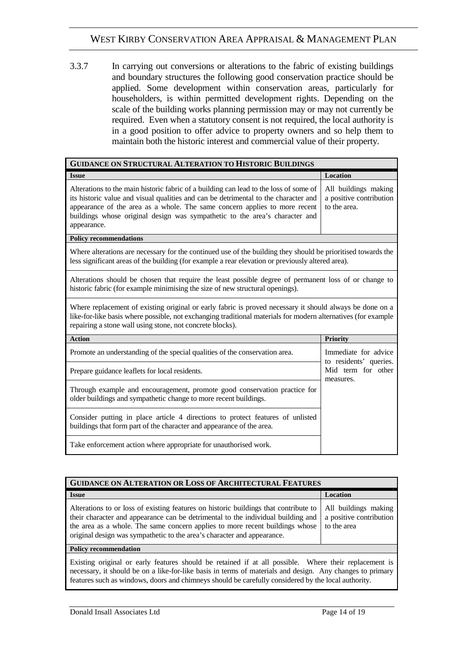3.3.7 In carrying out conversions or alterations to the fabric of existing buildings and boundary structures the following good conservation practice should be applied. Some development within conservation areas, particularly for householders, is within permitted development rights. Depending on the scale of the building works planning permission may or may not currently be required. Even when a statutory consent is not required, the local authority is in a good position to offer advice to property owners and so help them to maintain both the historic interest and commercial value of their property.

| <b>GUIDANCE ON STRUCTURAL ALTERATION TO HISTORIC BUILDINGS</b>                                                                                                                                                                                                                                                                                               |                                                                 |
|--------------------------------------------------------------------------------------------------------------------------------------------------------------------------------------------------------------------------------------------------------------------------------------------------------------------------------------------------------------|-----------------------------------------------------------------|
| <b>Issue</b>                                                                                                                                                                                                                                                                                                                                                 | Location                                                        |
| Alterations to the main historic fabric of a building can lead to the loss of some of<br>its historic value and visual qualities and can be detrimental to the character and  <br>appearance of the area as a whole. The same concern applies to more recent  <br>buildings whose original design was sympathetic to the area's character and<br>appearance. | All buildings making<br>a positive contribution<br>to the area. |
| <b>Policy recommendations</b>                                                                                                                                                                                                                                                                                                                                |                                                                 |

Where alterations are necessary for the continued use of the building they should be prioritised towards the less significant areas of the building (for example a rear elevation or previously altered area).

Alterations should be chosen that require the least possible degree of permanent loss of or change to historic fabric (for example minimising the size of new structural openings).

Where replacement of existing original or early fabric is proved necessary it should always be done on a like-for-like basis where possible, not exchanging traditional materials for modern alternatives (for example repairing a stone wall using stone, not concrete blocks).

| <b>Action</b>                                                                                                                                           | <b>Priority</b>                                                                   |
|---------------------------------------------------------------------------------------------------------------------------------------------------------|-----------------------------------------------------------------------------------|
| Promote an understanding of the special qualities of the conservation area.                                                                             | Immediate for advice<br>to residents' queries.<br>Mid term for other<br>measures. |
| Prepare guidance leaflets for local residents.                                                                                                          |                                                                                   |
| Through example and encouragement, promote good conservation practice for<br>older buildings and sympathetic change to more recent buildings.           |                                                                                   |
| Consider putting in place article 4 directions to protect features of unlisted<br>buildings that form part of the character and appearance of the area. |                                                                                   |
| Take enforcement action where appropriate for unauthorised work.                                                                                        |                                                                                   |

| <b>GUIDANCE ON ALTERATION OR LOSS OF ARCHITECTURAL FEATURES</b>                                                                                                                                                                                                                                                                     |                                                                |
|-------------------------------------------------------------------------------------------------------------------------------------------------------------------------------------------------------------------------------------------------------------------------------------------------------------------------------------|----------------------------------------------------------------|
| <b>Issue</b>                                                                                                                                                                                                                                                                                                                        | Location                                                       |
| Alterations to or loss of existing features on historic buildings that contribute to<br>their character and appearance can be detrimental to the individual building and<br>the area as a whole. The same concern applies to more recent buildings whose<br>original design was sympathetic to the area's character and appearance. | All buildings making<br>a positive contribution<br>to the area |
| <b>Policy recommendation</b>                                                                                                                                                                                                                                                                                                        |                                                                |
| Existing original or early features should be retained if at all possible. Where their replacement is                                                                                                                                                                                                                               |                                                                |

necessary, it should be on a like-for-like basis in terms of materials and design. Any changes to primary features such as windows, doors and chimneys should be carefully considered by the local authority.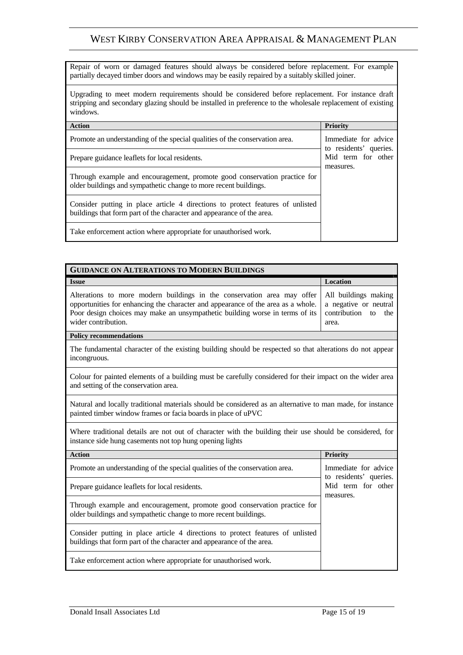Repair of worn or damaged features should always be considered before replacement. For example partially decayed timber doors and windows may be easily repaired by a suitably skilled joiner.

Upgrading to meet modern requirements should be considered before replacement. For instance draft stripping and secondary glazing should be installed in preference to the wholesale replacement of existing windows.

| <b>Action</b>                                                                                                                                           | <b>Priority</b>                                                                   |  |
|---------------------------------------------------------------------------------------------------------------------------------------------------------|-----------------------------------------------------------------------------------|--|
| Promote an understanding of the special qualities of the conservation area.                                                                             | Immediate for advice<br>to residents' queries.<br>Mid term for other<br>measures. |  |
| Prepare guidance leaflets for local residents.                                                                                                          |                                                                                   |  |
| Through example and encouragement, promote good conservation practice for<br>older buildings and sympathetic change to more recent buildings.           |                                                                                   |  |
| Consider putting in place article 4 directions to protect features of unlisted<br>buildings that form part of the character and appearance of the area. |                                                                                   |  |
| Take enforcement action where appropriate for unauthorised work.                                                                                        |                                                                                   |  |

| <b>GUIDANCE ON ALTERATIONS TO MODERN BUILDINGS</b>                                                                                                                                                                                                                 |                                                                                  |  |
|--------------------------------------------------------------------------------------------------------------------------------------------------------------------------------------------------------------------------------------------------------------------|----------------------------------------------------------------------------------|--|
| <b>Issue</b>                                                                                                                                                                                                                                                       | <b>Location</b>                                                                  |  |
| Alterations to more modern buildings in the conservation area may offer<br>opportunities for enhancing the character and appearance of the area as a whole.<br>Poor design choices may make an unsympathetic building worse in terms of its<br>wider contribution. | All buildings making<br>a negative or neutral<br>contribution to<br>the<br>area. |  |
| <b>Policy recommendations</b>                                                                                                                                                                                                                                      |                                                                                  |  |
| The fundamental character of the existing building should be respected so that alterations do not appear<br>incongruous.                                                                                                                                           |                                                                                  |  |
| Colour for painted elements of a building must be carefully considered for their impact on the wider area<br>and setting of the conservation area.                                                                                                                 |                                                                                  |  |
| Natural and locally traditional materials should be considered as an alternative to man made, for instance<br>painted timber window frames or facia boards in place of uPVC                                                                                        |                                                                                  |  |
| Where traditional details are not out of character with the building their use should be considered, for<br>instance side hung casements not top hung opening lights                                                                                               |                                                                                  |  |
| <b>Action</b>                                                                                                                                                                                                                                                      | <b>Priority</b>                                                                  |  |
| Promote an understanding of the special qualities of the conservation area.                                                                                                                                                                                        | Immediate for advice<br>to residents' queries.                                   |  |
| Prepare guidance leaflets for local residents.                                                                                                                                                                                                                     | Mid term for other<br>measures.                                                  |  |
| Through example and encouragement, promote good conservation practice for<br>older buildings and sympathetic change to more recent buildings.                                                                                                                      |                                                                                  |  |
| Consider putting in place article 4 directions to protect features of unlisted<br>buildings that form part of the character and appearance of the area.                                                                                                            |                                                                                  |  |
| Take enforcement action where appropriate for unauthorised work.                                                                                                                                                                                                   |                                                                                  |  |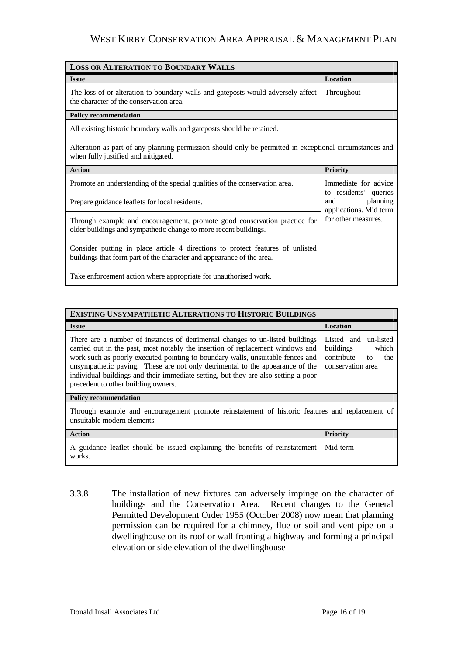| <b>LOSS OR ALTERATION TO BOUNDARY WALLS</b>                                                                                                             |                                                                                           |  |
|---------------------------------------------------------------------------------------------------------------------------------------------------------|-------------------------------------------------------------------------------------------|--|
| <b>Issue</b>                                                                                                                                            | <b>Location</b>                                                                           |  |
| The loss of or alteration to boundary walls and gateposts would adversely affect<br>the character of the conservation area.                             | Throughout                                                                                |  |
| <b>Policy recommendation</b>                                                                                                                            |                                                                                           |  |
| All existing historic boundary walls and gateposts should be retained.                                                                                  |                                                                                           |  |
| Alteration as part of any planning permission should only be permitted in exceptional circumstances and<br>when fully justified and mitigated.          |                                                                                           |  |
| <b>Action</b>                                                                                                                                           | <b>Priority</b>                                                                           |  |
| Promote an understanding of the special qualities of the conservation area.                                                                             | Immediate for advice                                                                      |  |
| Prepare guidance leaflets for local residents.                                                                                                          | to residents' queries<br>planning<br>and<br>applications. Mid term<br>for other measures. |  |
| Through example and encouragement, promote good conservation practice for<br>older buildings and sympathetic change to more recent buildings.           |                                                                                           |  |
| Consider putting in place article 4 directions to protect features of unlisted<br>buildings that form part of the character and appearance of the area. |                                                                                           |  |
| Take enforcement action where appropriate for unauthorised work.                                                                                        |                                                                                           |  |

| <b>EXISTING UNSYMPATHETIC ALTERATIONS TO HISTORIC BUILDINGS</b>                                                                                                                                                                                                                                                                                                                                                                                                 |                                                                                            |  |
|-----------------------------------------------------------------------------------------------------------------------------------------------------------------------------------------------------------------------------------------------------------------------------------------------------------------------------------------------------------------------------------------------------------------------------------------------------------------|--------------------------------------------------------------------------------------------|--|
| <b>Issue</b>                                                                                                                                                                                                                                                                                                                                                                                                                                                    | Location                                                                                   |  |
| There are a number of instances of detrimental changes to un-listed buildings<br>carried out in the past, most notably the insertion of replacement windows and<br>work such as poorly executed pointing to boundary walls, unsuitable fences and<br>unsympathetic paving. These are not only detrimental to the appearance of the<br>individual buildings and their immediate setting, but they are also setting a poor<br>precedent to other building owners. | Listed and un-listed<br>buildings<br>which<br>contribute<br>the<br>to<br>conservation area |  |
| <b>Policy recommendation</b>                                                                                                                                                                                                                                                                                                                                                                                                                                    |                                                                                            |  |
| Through example and encouragement promote reinstatement of historic features and replacement of<br>unsuitable modern elements.                                                                                                                                                                                                                                                                                                                                  |                                                                                            |  |
| <b>Action</b>                                                                                                                                                                                                                                                                                                                                                                                                                                                   | <b>Priority</b>                                                                            |  |
| A guidance leaflet should be issued explaining the benefits of reinstatement<br>works.                                                                                                                                                                                                                                                                                                                                                                          | Mid-term                                                                                   |  |

3.3.8 The installation of new fixtures can adversely impinge on the character of buildings and the Conservation Area. Recent changes to the General Permitted Development Order 1955 (October 2008) now mean that planning permission can be required for a chimney, flue or soil and vent pipe on a dwellinghouse on its roof or wall fronting a highway and forming a principal elevation or side elevation of the dwellinghouse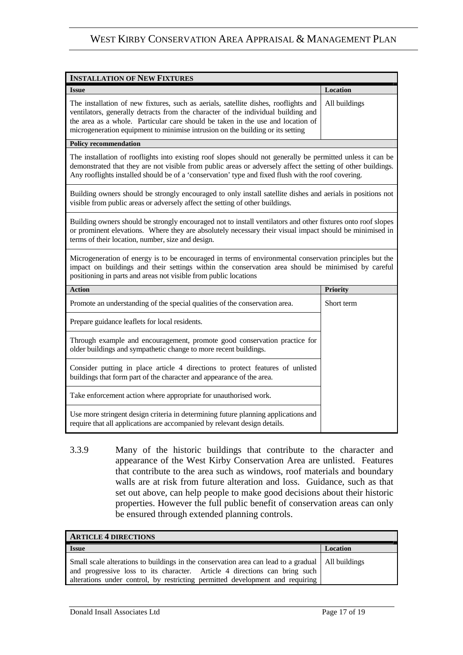| <b>INSTALLATION OF NEW FIXTURES</b>                                                                                                                                                                                                                                                                                                           |                 |  |
|-----------------------------------------------------------------------------------------------------------------------------------------------------------------------------------------------------------------------------------------------------------------------------------------------------------------------------------------------|-----------------|--|
| Issue                                                                                                                                                                                                                                                                                                                                         | Location        |  |
| The installation of new fixtures, such as aerials, satellite dishes, rooflights and<br>ventilators, generally detracts from the character of the individual building and<br>the area as a whole. Particular care should be taken in the use and location of<br>microgeneration equipment to minimise intrusion on the building or its setting | All buildings   |  |
| <b>Policy recommendation</b>                                                                                                                                                                                                                                                                                                                  |                 |  |
| The installation of rooflights into existing roof slopes should not generally be permitted unless it can be<br>demonstrated that they are not visible from public areas or adversely affect the setting of other buildings.<br>Any rooflights installed should be of a 'conservation' type and fixed flush with the roof covering.            |                 |  |
| Building owners should be strongly encouraged to only install satellite dishes and aerials in positions not<br>visible from public areas or adversely affect the setting of other buildings.                                                                                                                                                  |                 |  |
| Building owners should be strongly encouraged not to install ventilators and other fixtures onto roof slopes<br>or prominent elevations. Where they are absolutely necessary their visual impact should be minimised in<br>terms of their location, number, size and design.                                                                  |                 |  |
| Microgeneration of energy is to be encouraged in terms of environmental conservation principles but the<br>impact on buildings and their settings within the conservation area should be minimised by careful<br>positioning in parts and areas not visible from public locations                                                             |                 |  |
| <b>Action</b>                                                                                                                                                                                                                                                                                                                                 | <b>Priority</b> |  |
| Promote an understanding of the special qualities of the conservation area.                                                                                                                                                                                                                                                                   | Short term      |  |
| Prepare guidance leaflets for local residents.                                                                                                                                                                                                                                                                                                |                 |  |
| Through example and encouragement, promote good conservation practice for<br>older buildings and sympathetic change to more recent buildings.                                                                                                                                                                                                 |                 |  |
| Consider putting in place article 4 directions to protect features of unlisted<br>buildings that form part of the character and appearance of the area.                                                                                                                                                                                       |                 |  |
| Take enforcement action where appropriate for unauthorised work.                                                                                                                                                                                                                                                                              |                 |  |
| Use more stringent design criteria in determining future planning applications and<br>require that all applications are accompanied by relevant design details.                                                                                                                                                                               |                 |  |

3.3.9 Many of the historic buildings that contribute to the character and appearance of the West Kirby Conservation Area are unlisted. Features that contribute to the area such as windows, roof materials and boundary walls are at risk from future alteration and loss. Guidance, such as that set out above, can help people to make good decisions about their historic properties. However the full public benefit of conservation areas can only be ensured through extended planning controls.

| <b>ARTICLE 4 DIRECTIONS</b>                                                                                                                                                                                                                                        |          |
|--------------------------------------------------------------------------------------------------------------------------------------------------------------------------------------------------------------------------------------------------------------------|----------|
| <b>Issue</b>                                                                                                                                                                                                                                                       | Location |
| Small scale alterations to buildings in the conservation area can lead to a gradual   All buildings<br>and progressive loss to its character. Article 4 directions can bring such<br>alterations under control, by restricting permitted development and requiring |          |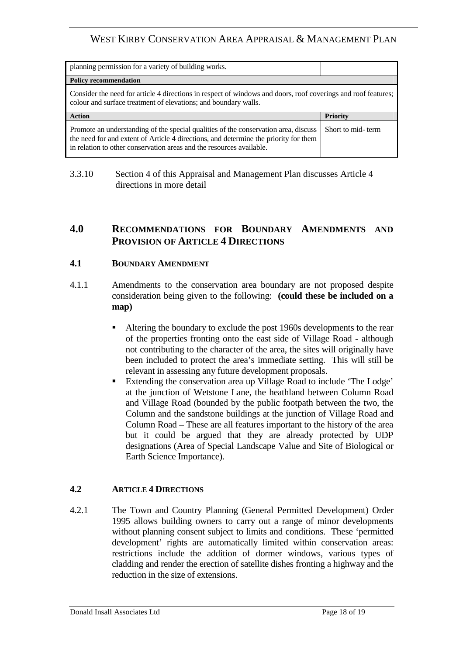| planning permission for a variety of building works.                                                                                                                             |                   |  |
|----------------------------------------------------------------------------------------------------------------------------------------------------------------------------------|-------------------|--|
| <b>Policy recommendation</b>                                                                                                                                                     |                   |  |
| Consider the need for article 4 directions in respect of windows and doors, roof coverings and roof features;<br>colour and surface treatment of elevations; and boundary walls. |                   |  |
| <b>Action</b>                                                                                                                                                                    | Priority          |  |
|                                                                                                                                                                                  | Short to mid-term |  |

#### 3.3.10 Section 4 of this Appraisal and Management Plan discusses Article 4 directions in more detail

#### **4.0 RECOMMENDATIONS FOR BOUNDARY AMENDMENTS AND PROVISION OF ARTICLE 4 DIRECTIONS**

#### **4.1 BOUNDARY AMENDMENT**

- 4.1.1 Amendments to the conservation area boundary are not proposed despite consideration being given to the following: **(could these be included on a map)** 
	- Altering the boundary to exclude the post 1960s developments to the rear of the properties fronting onto the east side of Village Road - although not contributing to the character of the area, the sites will originally have been included to protect the area's immediate setting. This will still be relevant in assessing any future development proposals.
	- Extending the conservation area up Village Road to include 'The Lodge' at the junction of Wetstone Lane, the heathland between Column Road and Village Road (bounded by the public footpath between the two, the Column and the sandstone buildings at the junction of Village Road and Column Road – These are all features important to the history of the area but it could be argued that they are already protected by UDP designations (Area of Special Landscape Value and Site of Biological or Earth Science Importance).

#### **4.2 ARTICLE 4 DIRECTIONS**

4.2.1 The Town and Country Planning (General Permitted Development) Order 1995 allows building owners to carry out a range of minor developments without planning consent subject to limits and conditions. These 'permitted development' rights are automatically limited within conservation areas: restrictions include the addition of dormer windows, various types of cladding and render the erection of satellite dishes fronting a highway and the reduction in the size of extensions.